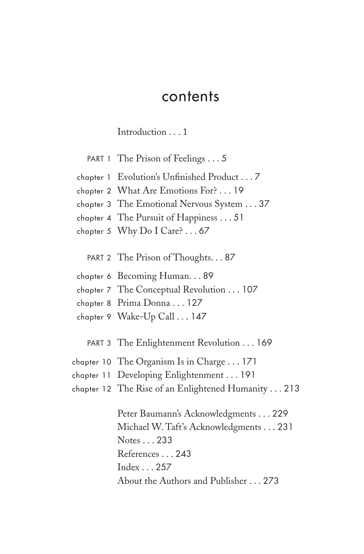### contents

### Introduction . . . 1

| PART 1 The Prison of Feelings 5 |  |  |  |   |  |  |
|---------------------------------|--|--|--|---|--|--|
|                                 |  |  |  | . |  |  |

|  | chapter 1 Evolution's Unfinished Product7 |  |  |  |
|--|-------------------------------------------|--|--|--|
|--|-------------------------------------------|--|--|--|

chapter 2 What Are Emotions For? . . . 19

chapter 3 The Emotional Nervous System . . . 37

chapter 4 The Pursuit of Happiness . . . 51

chapter 5 Why Do I Care? . . . 67

PART 2 The Prison of Thoughts. . . 87

- chapter 6 Becoming Human. . . 89
- chapter 7 The Conceptual Revolution . . . 107
- chapter 8 Prima Donna . . . 127
- chapter 9 Wake-Up Call . . . 147

PART 3 The Enlightenment Revolution . . . 169

- chapter 10 The Organism Is in Charge . . . 171
- chapter 11 Developing Enlightenment . . . 191
- chapter 12 The Rise of an Enlightened Humanity . . . 213

Peter Baumann's Acknowledgments . . . 229 Michael W. Taft's Acknowledgments . . . 231 Notes . . . 233 References . . . 243 Index . . . 257 About the Authors and Publisher . . . 273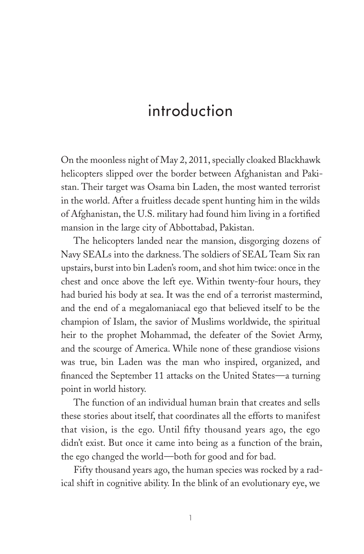## introduction

On the moonless night of May 2, 2011, specially cloaked Blackhawk helicopters slipped over the border between Afghanistan and Pakistan. Their target was Osama bin Laden, the most wanted terrorist in the world. After a fruitless decade spent hunting him in the wilds of Afghanistan, the U.S. military had found him living in a fortified mansion in the large city of Abbottabad, Pakistan.

The helicopters landed near the mansion, disgorging dozens of Navy SEALs into the darkness. The soldiers of SEAL Team Six ran upstairs, burst into bin Laden's room, and shot him twice: once in the chest and once above the left eye. Within twenty-four hours, they had buried his body at sea. It was the end of a terrorist mastermind, and the end of a megalomaniacal ego that believed itself to be the champion of Islam, the savior of Muslims worldwide, the spiritual heir to the prophet Mohammad, the defeater of the Soviet Army, and the scourge of America. While none of these grandiose visions was true, bin Laden was the man who inspired, organized, and financed the September 11 attacks on the United States—a turning point in world history.

The function of an individual human brain that creates and sells these stories about itself, that coordinates all the efforts to manifest that vision, is the ego. Until fifty thousand years ago, the ego didn't exist. But once it came into being as a function of the brain, the ego changed the world—both for good and for bad.

Fifty thousand years ago, the human species was rocked by a radical shift in cognitive ability. In the blink of an evolutionary eye, we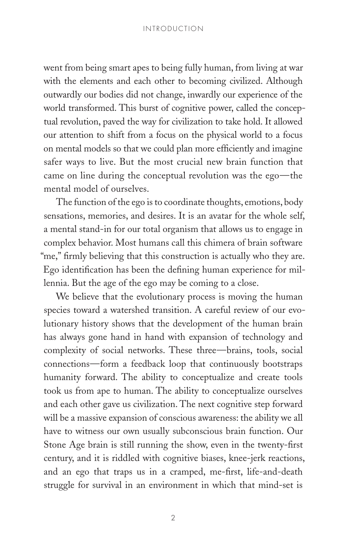went from being smart apes to being fully human, from living at war with the elements and each other to becoming civilized. Although outwardly our bodies did not change, inwardly our experience of the world transformed. This burst of cognitive power, called the conceptual revolution, paved the way for civilization to take hold. It allowed our attention to shift from a focus on the physical world to a focus on mental models so that we could plan more efficiently and imagine safer ways to live. But the most crucial new brain function that came on line during the conceptual revolution was the ego—the mental model of ourselves.

The function of the ego is to coordinate thoughts, emotions, body sensations, memories, and desires. It is an avatar for the whole self, a mental stand-in for our total organism that allows us to engage in complex behavior. Most humans call this chimera of brain software "me," firmly believing that this construction is actually who they are. Ego identification has been the defining human experience for millennia. But the age of the ego may be coming to a close.

We believe that the evolutionary process is moving the human species toward a watershed transition. A careful review of our evolutionary history shows that the development of the human brain has always gone hand in hand with expansion of technology and complexity of social networks. These three—brains, tools, social connections—form a feedback loop that continuously bootstraps humanity forward. The ability to conceptualize and create tools took us from ape to human. The ability to conceptualize ourselves and each other gave us civilization. The next cognitive step forward will be a massive expansion of conscious awareness: the ability we all have to witness our own usually subconscious brain function. Our Stone Age brain is still running the show, even in the twenty-first century, and it is riddled with cognitive biases, knee-jerk reactions, and an ego that traps us in a cramped, me-first, life-and-death struggle for survival in an environment in which that mind-set is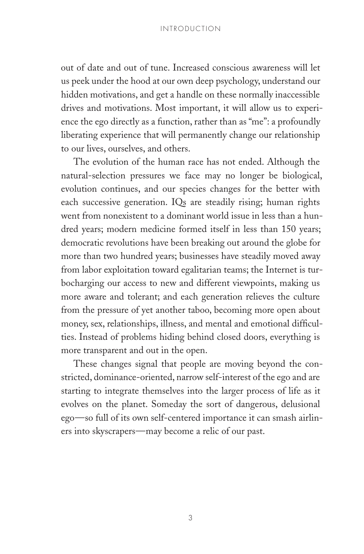#### introduction

out of date and out of tune. Increased conscious awareness will let us peek under the hood at our own deep psychology, understand our hidden motivations, and get a handle on these normally inaccessible drives and motivations. Most important, it will allow us to experience the ego directly as a function, rather than as "me": a profoundly liberating experience that will permanently change our relationship to our lives, ourselves, and others.

The evolution of the human race has not ended. Although the natural-selection pressures we face may no longer be biological, evolution continues, and our species changes for the better with each successive generation. IQs are steadily rising; human rights went from nonexistent to a dominant world issue in less than a hundred years; modern medicine formed itself in less than 150 years; democratic revolutions have been breaking out around the globe for more than two hundred years; businesses have steadily moved away from labor exploitation toward egalitarian teams; the Internet is turbocharging our access to new and different viewpoints, making us more aware and tolerant; and each generation relieves the culture from the pressure of yet another taboo, becoming more open about money, sex, relationships, illness, and mental and emotional difficulties. Instead of problems hiding behind closed doors, everything is more transparent and out in the open.

These changes signal that people are moving beyond the constricted, dominance-oriented, narrow self-interest of the ego and are starting to integrate themselves into the larger process of life as it evolves on the planet. Someday the sort of dangerous, delusional ego—so full of its own self-centered importance it can smash airliners into skyscrapers—may become a relic of our past.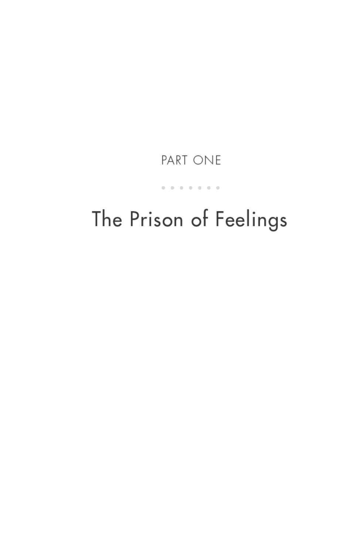## PART ONE

 $\begin{array}{cccccccccccccc} 0 & 0 & 0 & 0 & 0 & 0 & 0 & 0 & 0 \end{array}$ 

# The Prison of Feelings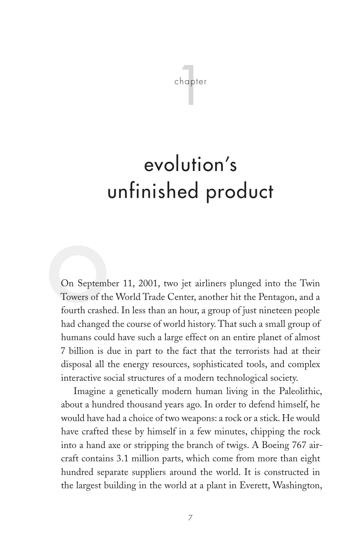

# evolution's unfinished product

On Septem<br>Towers of the<br>fourth crashe<br>had changed On September 11, 2001, two jet airliners plunged into the Twin Towers of the World Trade Center, another hit the Pentagon, and a fourth crashed. In less than an hour, a group of just nineteen people had changed the course of world history. That such a small group of humans could have such a large effect on an entire planet of almost 7 billion is due in part to the fact that the terrorists had at their disposal all the energy resources, sophisticated tools, and complex interactive social structures of a modern technological society.

Imagine a genetically modern human living in the Paleolithic, about a hundred thousand years ago. In order to defend himself, he would have had a choice of two weapons: a rock or a stick. He would have crafted these by himself in a few minutes, chipping the rock into a hand axe or stripping the branch of twigs. A Boeing 767 aircraft contains 3.1 million parts, which come from more than eight hundred separate suppliers around the world. It is constructed in the largest building in the world at a plant in Everett, Washington,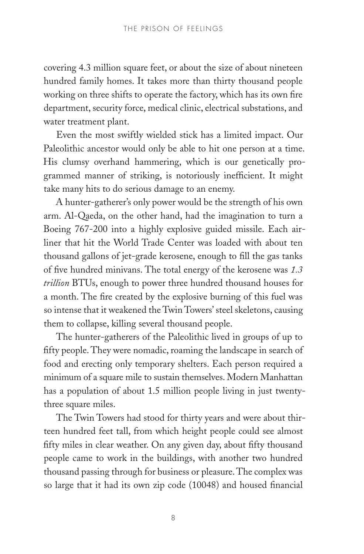covering 4.3 million square feet, or about the size of about nineteen hundred family homes. It takes more than thirty thousand people working on three shifts to operate the factory, which has its own fire department, security force, medical clinic, electrical substations, and water treatment plant.

Even the most swiftly wielded stick has a limited impact. Our Paleolithic ancestor would only be able to hit one person at a time. His clumsy overhand hammering, which is our genetically programmed manner of striking, is notoriously inefficient. It might take many hits to do serious damage to an enemy.

A hunter-gatherer's only power would be the strength of his own arm. Al-Qaeda, on the other hand, had the imagination to turn a Boeing 767-200 into a highly explosive guided missile. Each airliner that hit the World Trade Center was loaded with about ten thousand gallons of jet-grade kerosene, enough to fill the gas tanks of five hundred minivans. The total energy of the kerosene was *1.3 trillion* BTUs, enough to power three hundred thousand houses for a month. The fire created by the explosive burning of this fuel was so intense that it weakened the Twin Towers' steel skeletons, causing them to collapse, killing several thousand people.

The hunter-gatherers of the Paleolithic lived in groups of up to fifty people. They were nomadic, roaming the landscape in search of food and erecting only temporary shelters. Each person required a minimum of a square mile to sustain themselves. Modern Manhattan has a population of about 1.5 million people living in just twentythree square miles.

The Twin Towers had stood for thirty years and were about thirteen hundred feet tall, from which height people could see almost fifty miles in clear weather. On any given day, about fifty thousand people came to work in the buildings, with another two hundred thousand passing through for business or pleasure. The complex was so large that it had its own zip code (10048) and housed financial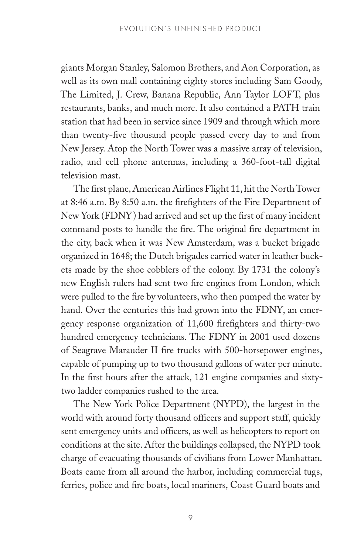giants Morgan Stanley, Salomon Brothers, and Aon Corporation, as well as its own mall containing eighty stores including Sam Goody, The Limited, J. Crew, Banana Republic, Ann Taylor LOFT, plus restaurants, banks, and much more. It also contained a PATH train station that had been in service since 1909 and through which more than twenty-five thousand people passed every day to and from New Jersey. Atop the North Tower was a massive array of television, radio, and cell phone antennas, including a 360-foot-tall digital television mast.

The first plane, American Airlines Flight 11, hit the North Tower at 8:46 a.m. By 8:50 a.m. the firefighters of the Fire Department of New York (FDNY) had arrived and set up the first of many incident command posts to handle the fire. The original fire department in the city, back when it was New Amsterdam, was a bucket brigade organized in 1648; the Dutch brigades carried water in leather buckets made by the shoe cobblers of the colony. By 1731 the colony's new English rulers had sent two fire engines from London, which were pulled to the fire by volunteers, who then pumped the water by hand. Over the centuries this had grown into the FDNY, an emergency response organization of 11,600 firefighters and thirty-two hundred emergency technicians. The FDNY in 2001 used dozens of Seagrave Marauder II fire trucks with 500-horsepower engines, capable of pumping up to two thousand gallons of water per minute. In the first hours after the attack, 121 engine companies and sixtytwo ladder companies rushed to the area.

The New York Police Department (NYPD), the largest in the world with around forty thousand officers and support staff, quickly sent emergency units and officers, as well as helicopters to report on conditions at the site. After the buildings collapsed, the NYPD took charge of evacuating thousands of civilians from Lower Manhattan. Boats came from all around the harbor, including commercial tugs, ferries, police and fire boats, local mariners, Coast Guard boats and